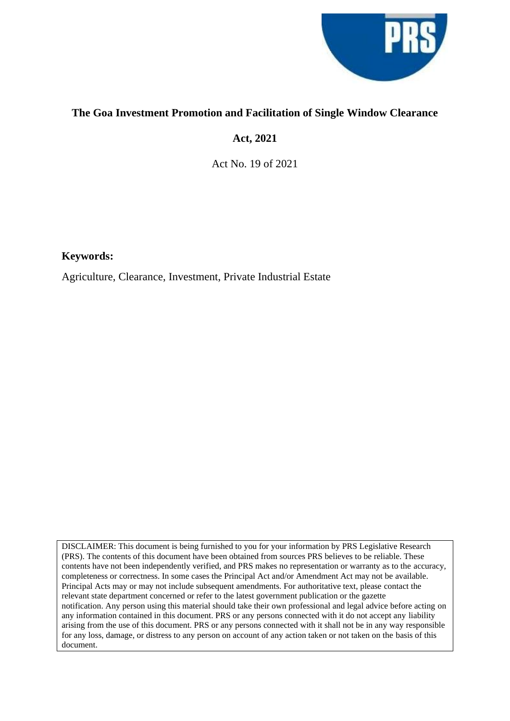

## **The Goa Investment Promotion and Facilitation of Single Window Clearance**

# **Act, 2021**

Act No. 19 of 2021

**Keywords:**

Agriculture, Clearance, Investment, Private Industrial Estate

DISCLAIMER: This document is being furnished to you for your information by PRS Legislative Research (PRS). The contents of this document have been obtained from sources PRS believes to be reliable. These contents have not been independently verified, and PRS makes no representation or warranty as to the accuracy, completeness or correctness. In some cases the Principal Act and/or Amendment Act may not be available. Principal Acts may or may not include subsequent amendments. For authoritative text, please contact the relevant state department concerned or refer to the latest government publication or the gazette notification. Any person using this material should take their own professional and legal advice before acting on any information contained in this document. PRS or any persons connected with it do not accept any liability arising from the use of this document. PRS or any persons connected with it shall not be in any way responsible for any loss, damage, or distress to any person on account of any action taken or not taken on the basis of this document.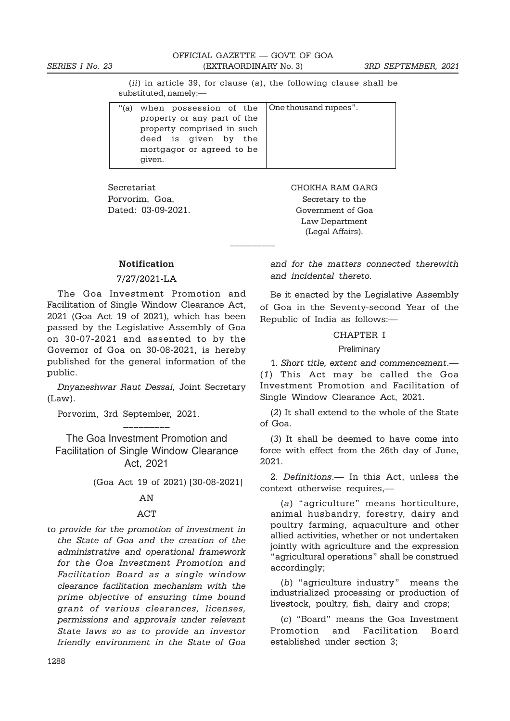(ii) in article 39, for clause (a), the following clause shall be substituted, namely:—

| " $(a)$ | when possession of the One thousand rupees". |  |
|---------|----------------------------------------------|--|
|         | property or any part of the                  |  |
|         | property comprised in such                   |  |
|         | deed is given by the                         |  |
|         | mortgagor or agreed to be                    |  |
|         | given.                                       |  |

\_\_\_\_\_\_\_\_\_\_

Secretariat CHOKHA RAM GARG Porvorim, Goa, Secretary to the

Dated: 03-09-2021. Government of Goa Law Department (Legal Affairs).

## Notification

## 7/27/2021-LA

The Goa Investment Promotion and Facilitation of Single Window Clearance Act, 2021 (Goa Act 19 of 2021), which has been passed by the Legislative Assembly of Goa on 30-07-2021 and assented to by the Governor of Goa on 30-08-2021, is hereby published for the general information of the public.

Dnyaneshwar Raut Dessai, Joint Secretary (Law).

Porvorim, 3rd September, 2021.

The Goa Investment Promotion and Facilitation of Single Window Clearance Act, 2021

–––––––––

(Goa Act 19 of 2021) [30-08-2021]

#### AN

#### ACT

to provide for the promotion of investment in the State of Goa and the creation of the administrative and operational framework for the Goa Investment Promotion and Facilitation Board as a single window clearance facilitation mechanism with the prime objective of ensuring time bound grant of various clearances, licenses, permissions and approvals under relevant State laws so as to provide an investor friendly environment in the State of Goa

and for the matters connected therewith and incidental thereto.

Be it enacted by the Legislative Assembly of Goa in the Seventy-second Year of the Republic of India as follows:—

#### CHAPTER I

## Preliminary

1. Short title, extent and commencement.— (1) This Act may be called the Goa Investment Promotion and Facilitation of Single Window Clearance Act, 2021.

(2) It shall extend to the whole of the State of Goa.

(3) It shall be deemed to have come into force with effect from the 26th day of June, 2021.

2. Definitions.— In this Act, unless the context otherwise requires,—

(a) "agriculture" means horticulture, animal husbandry, forestry, dairy and poultry farming, aquaculture and other allied activities, whether or not undertaken jointly with agriculture and the expression "agricultural operations" shall be construed accordingly;

(b) "agriculture industry" means the industrialized processing or production of livestock, poultry, fish, dairy and crops;

(c) "Board" means the Goa Investment Promotion and Facilitation Board established under section 3;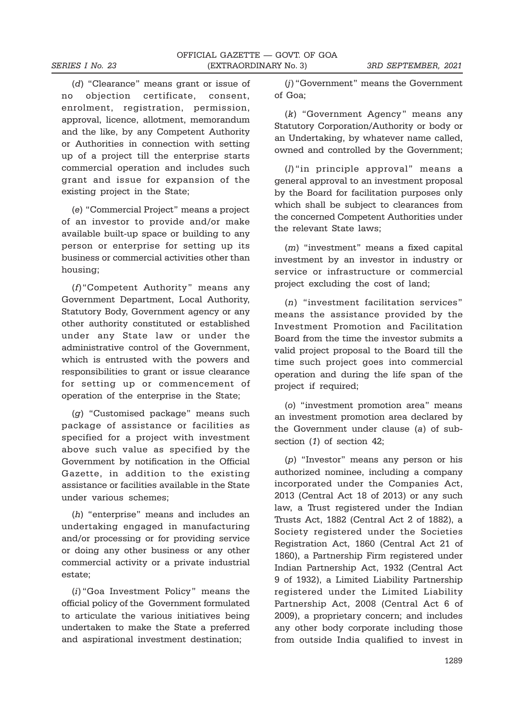(d) "Clearance" means grant or issue of no objection certificate, consent, enrolment, registration, permission, approval, licence, allotment, memorandum and the like, by any Competent Authority or Authorities in connection with setting up of a project till the enterprise starts commercial operation and includes such grant and issue for expansion of the existing project in the State;

(e) "Commercial Project" means a project of an investor to provide and/or make available built-up space or building to any person or enterprise for setting up its business or commercial activities other than housing;

(f)"Competent Authority" means any Government Department, Local Authority, Statutory Body, Government agency or any other authority constituted or established under any State law or under the administrative control of the Government, which is entrusted with the powers and responsibilities to grant or issue clearance for setting up or commencement of operation of the enterprise in the State;

(g) "Customised package" means such package of assistance or facilities as specified for a project with investment above such value as specified by the Government by notification in the Official Gazette, in addition to the existing assistance or facilities available in the State under various schemes;

(h) "enterprise" means and includes an undertaking engaged in manufacturing and/or processing or for providing service or doing any other business or any other commercial activity or a private industrial estate;

(i) "Goa Investment Policy" means the official policy of the Government formulated to articulate the various initiatives being undertaken to make the State a preferred and aspirational investment destination;

(j) "Government" means the Government of Goa;

(k) "Government Agency" means any Statutory Corporation/Authority or body or an Undertaking, by whatever name called, owned and controlled by the Government;

(l) "in principle approval" means a general approval to an investment proposal by the Board for facilitation purposes only which shall be subject to clearances from the concerned Competent Authorities under the relevant State laws;

(m) "investment" means a fixed capital investment by an investor in industry or service or infrastructure or commercial project excluding the cost of land;

(n) "investment facilitation services" means the assistance provided by the Investment Promotion and Facilitation Board from the time the investor submits a valid project proposal to the Board till the time such project goes into commercial operation and during the life span of the project if required;

(o) "investment promotion area" means an investment promotion area declared by the Government under clause (a) of subsection (1) of section 42;

(p) "Investor" means any person or his authorized nominee, including a company incorporated under the Companies Act, 2013 (Central Act 18 of 2013) or any such law, a Trust registered under the Indian Trusts Act, 1882 (Central Act 2 of 1882), a Society registered under the Societies Registration Act, 1860 (Central Act 21 of 1860), a Partnership Firm registered under Indian Partnership Act, 1932 (Central Act 9 of 1932), a Limited Liability Partnership registered under the Limited Liability Partnership Act, 2008 (Central Act 6 of 2009), a proprietary concern; and includes any other body corporate including those from outside India qualified to invest in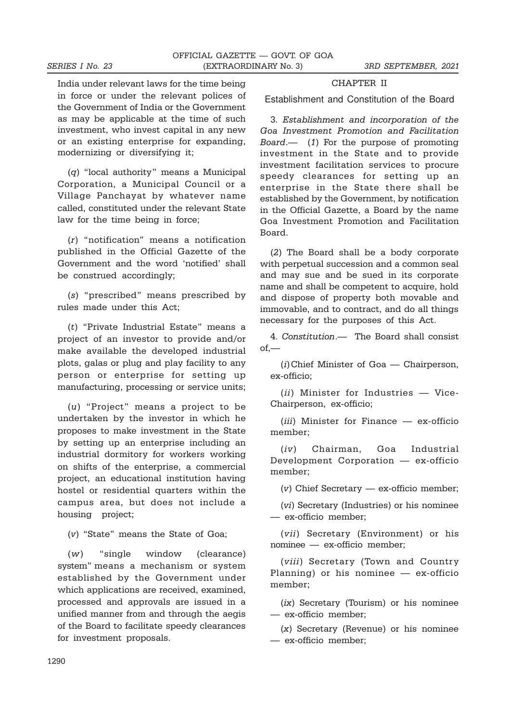India under relevant laws for the time being in force or under the relevant polices of the Government of India or the Government as may be applicable at the time of such investment, who invest capital in any new or an existing enterprise for expanding, modernizing or diversifying it;

(q) "local authority" means a Municipal Corporation, a Municipal Council or a Village Panchayat by whatever name called, constituted under the relevant State law for the time being in force;

(r) "notification" means a notification published in the Official Gazette of the Government and the word 'notified' shall be construed accordingly;

(s) "prescribed" means prescribed by rules made under this Act;

(t) "Private Industrial Estate" means a project of an investor to provide and/or make available the developed industrial plots, galas or plug and play facility to any person or enterprise for setting up manufacturing, processing or service units;

(u) "Project" means a project to be undertaken by the investor in which he proposes to make investment in the State by setting up an enterprise including an industrial dormitory for workers working on shifts of the enterprise, a commercial project, an educational institution having hostel or residential quarters within the campus area, but does not include a housing project;

(v) "State" means the State of Goa;

(w) "single window (clearance) system" means a mechanism or system established by the Government under which applications are received, examined, processed and approvals are issued in a unified manner from and through the aegis of the Board to facilitate speedy clearances for investment proposals.

# CHAPTER II

Establishment and Constitution of the Board

3. Establishment and incorporation of the Goa Investment Promotion and Facilitation Board.— (1) For the purpose of promoting investment in the State and to provide investment facilitation services to procure speedy clearances for setting up an enterprise in the State there shall be established by the Government, by notification in the Official Gazette, a Board by the name Goa Investment Promotion and Facilitation Board.

(2) The Board shall be a body corporate with perpetual succession and a common seal and may sue and be sued in its corporate name and shall be competent to acquire, hold and dispose of property both movable and immovable, and to contract, and do all things necessary for the purposes of this Act.

4. Constitution.— The Board shall consist of,—

(i)Chief Minister of Goa — Chairperson, ex-officio;

(ii) Minister for Industries — Vice-Chairperson, ex-officio;

(*iii*) Minister for Finance — ex-officio member;

(iv) Chairman, Goa Industrial Development Corporation — ex-officio member;

(v) Chief Secretary — ex-officio member;

(vi) Secretary (Industries) or his nominee — ex-officio member;

(vii) Secretary (Environment) or his nominee — ex-officio member;

(viii) Secretary (Town and Country Planning) or his nominee — ex-officio member;

(ix) Secretary (Tourism) or his nominee — ex-officio member;

(x) Secretary (Revenue) or his nominee — ex-officio member;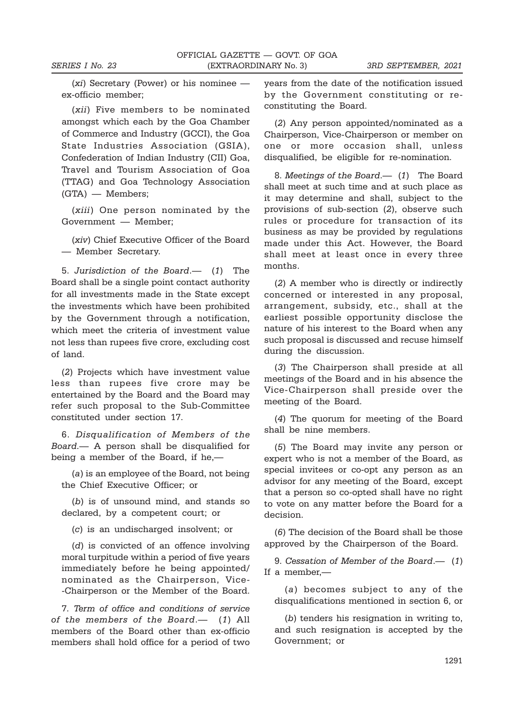(xi) Secretary (Power) or his nominee ex-officio member;

(xii) Five members to be nominated amongst which each by the Goa Chamber of Commerce and Industry (GCCI), the Goa State Industries Association (GSIA), Confederation of Indian Industry (CII) Goa, Travel and Tourism Association of Goa (TTAG) and Goa Technology Association (GTA) — Members;

(xiii) One person nominated by the Government — Member;

(xiv) Chief Executive Officer of the Board — Member Secretary.

5. Jurisdiction of the Board.— (1) The Board shall be a single point contact authority for all investments made in the State except the investments which have been prohibited by the Government through a notification, which meet the criteria of investment value not less than rupees five crore, excluding cost of land.

(2) Projects which have investment value less than rupees five crore may be entertained by the Board and the Board may refer such proposal to the Sub-Committee constituted under section 17.

6. Disqualification of Members of the Board.— A person shall be disqualified for being a member of the Board, if he,—

(a) is an employee of the Board, not being the Chief Executive Officer; or

(b) is of unsound mind, and stands so declared, by a competent court; or

(c) is an undischarged insolvent; or

(d) is convicted of an offence involving moral turpitude within a period of five years immediately before he being appointed/ nominated as the Chairperson, Vice- -Chairperson or the Member of the Board.

7. Term of office and conditions of service of the members of the Board.— (1) All members of the Board other than ex-officio members shall hold office for a period of two

years from the date of the notification issued by the Government constituting or reconstituting the Board.

(2) Any person appointed/nominated as a Chairperson, Vice-Chairperson or member on one or more occasion shall, unless disqualified, be eligible for re-nomination.

8. Meetings of the Board.— (1) The Board shall meet at such time and at such place as it may determine and shall, subject to the provisions of sub-section (2), observe such rules or procedure for transaction of its business as may be provided by regulations made under this Act. However, the Board shall meet at least once in every three months.

(2) A member who is directly or indirectly concerned or interested in any proposal, arrangement, subsidy, etc., shall at the earliest possible opportunity disclose the nature of his interest to the Board when any such proposal is discussed and recuse himself during the discussion.

(3) The Chairperson shall preside at all meetings of the Board and in his absence the Vice-Chairperson shall preside over the meeting of the Board.

(4) The quorum for meeting of the Board shall be nine members.

(5) The Board may invite any person or expert who is not a member of the Board, as special invitees or co-opt any person as an advisor for any meeting of the Board, except that a person so co-opted shall have no right to vote on any matter before the Board for a decision.

(6) The decision of the Board shall be those approved by the Chairperson of the Board.

9. Cessation of Member of the Board.— (1) If a member,—

(a) becomes subject to any of the disqualifications mentioned in section 6, or

(b) tenders his resignation in writing to, and such resignation is accepted by the Government; or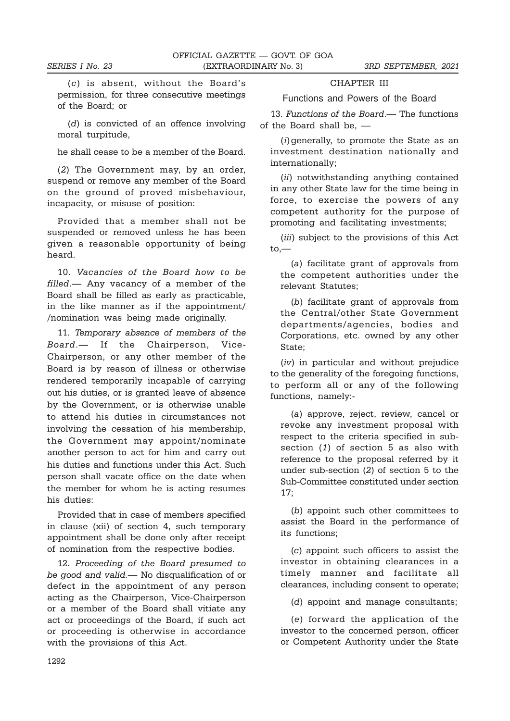(c) is absent, without the Board's permission, for three consecutive meetings of the Board; or

(d) is convicted of an offence involving moral turpitude,

he shall cease to be a member of the Board.

(2) The Government may, by an order, suspend or remove any member of the Board on the ground of proved misbehaviour, incapacity, or misuse of position:

Provided that a member shall not be suspended or removed unless he has been given a reasonable opportunity of being heard.

10. Vacancies of the Board how to be filled.— Any vacancy of a member of the Board shall be filled as early as practicable, in the like manner as if the appointment/ /nomination was being made originally.

11. Temporary absence of members of the Board.— If the Chairperson, Vice-Chairperson, or any other member of the Board is by reason of illness or otherwise rendered temporarily incapable of carrying out his duties, or is granted leave of absence by the Government, or is otherwise unable to attend his duties in circumstances not involving the cessation of his membership, the Government may appoint/nominate another person to act for him and carry out his duties and functions under this Act. Such person shall vacate office on the date when the member for whom he is acting resumes his duties:

Provided that in case of members specified in clause (xii) of section 4, such temporary appointment shall be done only after receipt of nomination from the respective bodies.

12. Proceeding of the Board presumed to be good and valid.— No disqualification of or defect in the appointment of any person acting as the Chairperson, Vice-Chairperson or a member of the Board shall vitiate any act or proceedings of the Board, if such act or proceeding is otherwise in accordance with the provisions of this Act.

## CHAPTER III Functions and Powers of the Board

13. Functions of the Board.— The functions of the Board shall be, —

(i)generally, to promote the State as an investment destination nationally and internationally;

(ii) notwithstanding anything contained in any other State law for the time being in force, to exercise the powers of any competent authority for the purpose of promoting and facilitating investments;

(iii) subject to the provisions of this Act to,—

(a) facilitate grant of approvals from the competent authorities under the relevant Statutes;

(b) facilitate grant of approvals from the Central/other State Government departments/agencies, bodies and Corporations, etc. owned by any other State;

(iv) in particular and without prejudice to the generality of the foregoing functions, to perform all or any of the following functions, namely:-

(a) approve, reject, review, cancel or revoke any investment proposal with respect to the criteria specified in subsection (1) of section 5 as also with reference to the proposal referred by it under sub-section (2) of section 5 to the Sub-Committee constituted under section 17;

(b) appoint such other committees to assist the Board in the performance of its functions;

(c) appoint such officers to assist the investor in obtaining clearances in a timely manner and facilitate all clearances, including consent to operate;

(d) appoint and manage consultants;

(e) forward the application of the investor to the concerned person, officer or Competent Authority under the State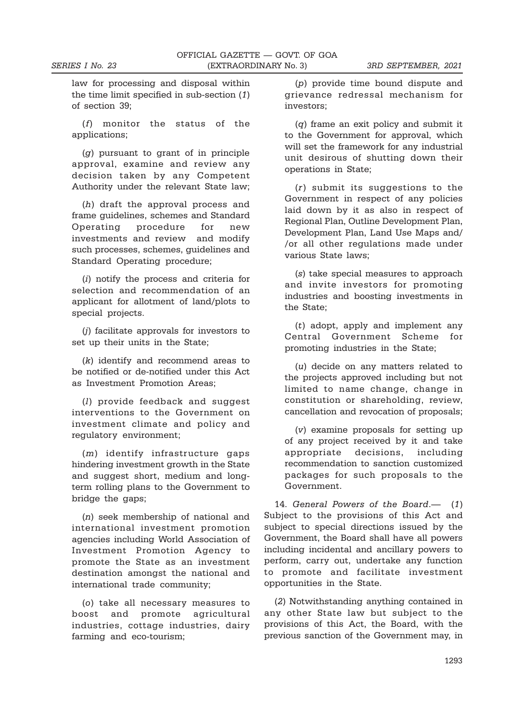law for processing and disposal within the time limit specified in sub-section (1) of section 39;

(f) monitor the status of the applications;

(g) pursuant to grant of in principle approval, examine and review any decision taken by any Competent Authority under the relevant State law;

(h) draft the approval process and frame guidelines, schemes and Standard Operating procedure for new investments and review and modify such processes, schemes, guidelines and Standard Operating procedure;

(i) notify the process and criteria for selection and recommendation of an applicant for allotment of land/plots to special projects.

(j) facilitate approvals for investors to set up their units in the State;

(k) identify and recommend areas to be notified or de-notified under this Act as Investment Promotion Areas;

(l) provide feedback and suggest interventions to the Government on investment climate and policy and regulatory environment;

(m) identify infrastructure gaps hindering investment growth in the State and suggest short, medium and longterm rolling plans to the Government to bridge the gaps;

(n) seek membership of national and international investment promotion agencies including World Association of Investment Promotion Agency to promote the State as an investment destination amongst the national and international trade community;

(o) take all necessary measures to boost and promote agricultural industries, cottage industries, dairy farming and eco-tourism;

(p) provide time bound dispute and grievance redressal mechanism for investors;

(q) frame an exit policy and submit it to the Government for approval, which will set the framework for any industrial unit desirous of shutting down their operations in State;

(r) submit its suggestions to the Government in respect of any policies laid down by it as also in respect of Regional Plan, Outline Development Plan, Development Plan, Land Use Maps and/ /or all other regulations made under various State laws;

(s) take special measures to approach and invite investors for promoting industries and boosting investments in the State;

(t) adopt, apply and implement any Central Government Scheme for promoting industries in the State;

(u) decide on any matters related to the projects approved including but not limited to name change, change in constitution or shareholding, review, cancellation and revocation of proposals;

(v) examine proposals for setting up of any project received by it and take appropriate decisions, including recommendation to sanction customized packages for such proposals to the Government.

14. General Powers of the Board.— (1) Subject to the provisions of this Act and subject to special directions issued by the Government, the Board shall have all powers including incidental and ancillary powers to perform, carry out, undertake any function to promote and facilitate investment opportunities in the State.

(2) Notwithstanding anything contained in any other State law but subject to the provisions of this Act, the Board, with the previous sanction of the Government may, in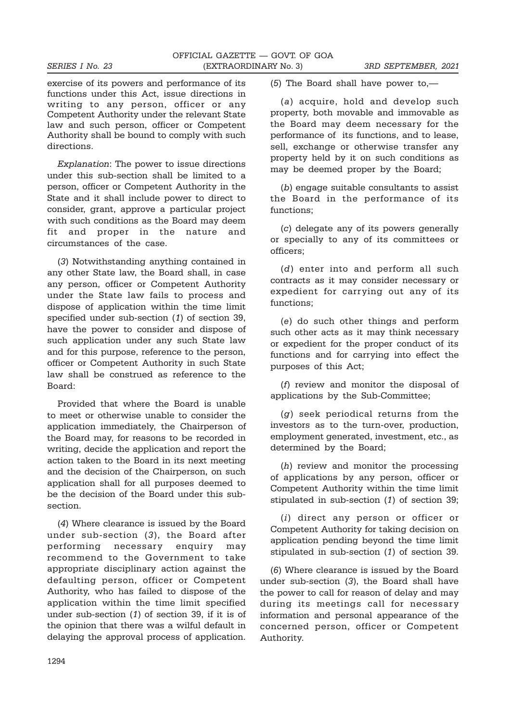exercise of its powers and performance of its functions under this Act, issue directions in writing to any person, officer or any Competent Authority under the relevant State law and such person, officer or Competent Authority shall be bound to comply with such directions.

Explanation: The power to issue directions under this sub-section shall be limited to a person, officer or Competent Authority in the State and it shall include power to direct to consider, grant, approve a particular project with such conditions as the Board may deem fit and proper in the nature and circumstances of the case.

(3) Notwithstanding anything contained in any other State law, the Board shall, in case any person, officer or Competent Authority under the State law fails to process and dispose of application within the time limit specified under sub-section (1) of section 39, have the power to consider and dispose of such application under any such State law and for this purpose, reference to the person, officer or Competent Authority in such State law shall be construed as reference to the Board:

Provided that where the Board is unable to meet or otherwise unable to consider the application immediately, the Chairperson of the Board may, for reasons to be recorded in writing, decide the application and report the action taken to the Board in its next meeting and the decision of the Chairperson, on such application shall for all purposes deemed to be the decision of the Board under this subsection.

(4) Where clearance is issued by the Board under sub-section (3), the Board after performing necessary enquiry may recommend to the Government to take appropriate disciplinary action against the defaulting person, officer or Competent Authority, who has failed to dispose of the application within the time limit specified under sub-section (1) of section 39, if it is of the opinion that there was a wilful default in delaying the approval process of application.

(5) The Board shall have power to,—

(a) acquire, hold and develop such property, both movable and immovable as the Board may deem necessary for the performance of its functions, and to lease, sell, exchange or otherwise transfer any property held by it on such conditions as may be deemed proper by the Board;

(b) engage suitable consultants to assist the Board in the performance of its functions;

(c) delegate any of its powers generally or specially to any of its committees or officers;

(d) enter into and perform all such contracts as it may consider necessary or expedient for carrying out any of its functions;

(e) do such other things and perform such other acts as it may think necessary or expedient for the proper conduct of its functions and for carrying into effect the purposes of this Act;

(f) review and monitor the disposal of applications by the Sub-Committee;

(g) seek periodical returns from the investors as to the turn-over, production, employment generated, investment, etc., as determined by the Board;

(h) review and monitor the processing of applications by any person, officer or Competent Authority within the time limit stipulated in sub-section (1) of section 39;

(i) direct any person or officer or Competent Authority for taking decision on application pending beyond the time limit stipulated in sub-section (1) of section 39.

(6) Where clearance is issued by the Board under sub-section (3), the Board shall have the power to call for reason of delay and may during its meetings call for necessary information and personal appearance of the concerned person, officer or Competent Authority.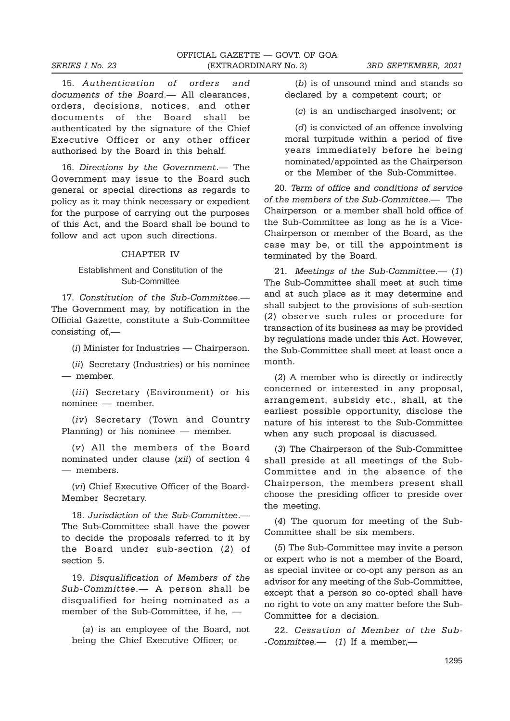15. Authentication of orders and documents of the Board.— All clearances, orders, decisions, notices, and other documents of the Board shall be authenticated by the signature of the Chief Executive Officer or any other officer authorised by the Board in this behalf.

16. Directions by the Government.— The Government may issue to the Board such general or special directions as regards to policy as it may think necessary or expedient for the purpose of carrying out the purposes of this Act, and the Board shall be bound to follow and act upon such directions.

#### CHAPTER IV

## Establishment and Constitution of the Sub-Committee

17. Constitution of the Sub-Committee.— The Government may, by notification in the Official Gazette, constitute a Sub-Committee consisting of,—

(i) Minister for Industries — Chairperson.

(ii) Secretary (Industries) or his nominee — member.

(iii) Secretary (Environment) or his nominee — member.

(iv) Secretary (Town and Country Planning) or his nominee — member.

(v) All the members of the Board nominated under clause (xii) of section 4 — members.

(vi) Chief Executive Officer of the Board-Member Secretary.

18. Jurisdiction of the Sub-Committee.— The Sub-Committee shall have the power to decide the proposals referred to it by the Board under sub-section (2) of section 5.

19. Disqualification of Members of the Sub-Committee.— A person shall be disqualified for being nominated as a member of the Sub-Committee, if he, —

(a) is an employee of the Board, not being the Chief Executive Officer; or

(b) is of unsound mind and stands so declared by a competent court; or

(c) is an undischarged insolvent; or

(d) is convicted of an offence involving moral turpitude within a period of five years immediately before he being nominated/appointed as the Chairperson or the Member of the Sub-Committee.

20. Term of office and conditions of service of the members of the Sub-Committee.— The Chairperson or a member shall hold office of the Sub-Committee as long as he is a Vice-Chairperson or member of the Board, as the case may be, or till the appointment is terminated by the Board.

21. Meetings of the Sub-Committee.— (1) The Sub-Committee shall meet at such time and at such place as it may determine and shall subject to the provisions of sub-section (2) observe such rules or procedure for transaction of its business as may be provided by regulations made under this Act. However, the Sub-Committee shall meet at least once a month.

(2) A member who is directly or indirectly concerned or interested in any proposal, arrangement, subsidy etc., shall, at the earliest possible opportunity, disclose the nature of his interest to the Sub-Committee when any such proposal is discussed.

(3) The Chairperson of the Sub-Committee shall preside at all meetings of the Sub-Committee and in the absence of the Chairperson, the members present shall choose the presiding officer to preside over the meeting.

(4) The quorum for meeting of the Sub-Committee shall be six members.

(5) The Sub-Committee may invite a person or expert who is not a member of the Board, as special invitee or co-opt any person as an advisor for any meeting of the Sub-Committee, except that a person so co-opted shall have no right to vote on any matter before the Sub-Committee for a decision.

22. Cessation of Member of the Sub- -Committee.— (1) If a member,—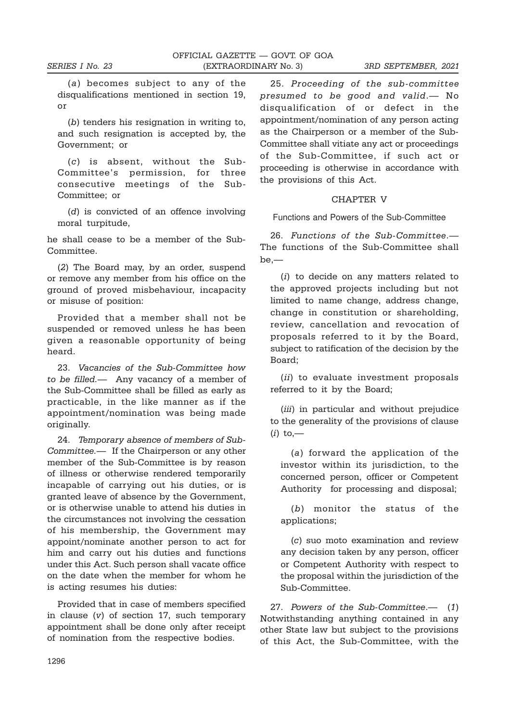(a) becomes subject to any of the disqualifications mentioned in section 19, or

(b) tenders his resignation in writing to, and such resignation is accepted by, the Government; or

(c) is absent, without the Sub-Committee's permission, for three consecutive meetings of the Sub-Committee; or

(d) is convicted of an offence involving moral turpitude,

he shall cease to be a member of the Sub-Committee.

(2) The Board may, by an order, suspend or remove any member from his office on the ground of proved misbehaviour, incapacity or misuse of position:

Provided that a member shall not be suspended or removed unless he has been given a reasonable opportunity of being heard.

23. Vacancies of the Sub-Committee how to be filled.— Any vacancy of a member of the Sub-Committee shall be filled as early as practicable, in the like manner as if the appointment/nomination was being made originally.

24. Temporary absence of members of Sub-Committee.— If the Chairperson or any other member of the Sub-Committee is by reason of illness or otherwise rendered temporarily incapable of carrying out his duties, or is granted leave of absence by the Government, or is otherwise unable to attend his duties in the circumstances not involving the cessation of his membership, the Government may appoint/nominate another person to act for him and carry out his duties and functions under this Act. Such person shall vacate office on the date when the member for whom he is acting resumes his duties:

Provided that in case of members specified in clause  $(v)$  of section 17, such temporary appointment shall be done only after receipt of nomination from the respective bodies.

25. Proceeding of the sub-committee presumed to be good and valid.— No disqualification of or defect in the appointment/nomination of any person acting as the Chairperson or a member of the Sub-Committee shall vitiate any act or proceedings of the Sub-Committee, if such act or proceeding is otherwise in accordance with the provisions of this Act.

#### CHAPTER V

Functions and Powers of the Sub-Committee

26. Functions of the Sub-Committee.— The functions of the Sub-Committee shall be,—

(i) to decide on any matters related to the approved projects including but not limited to name change, address change, change in constitution or shareholding, review, cancellation and revocation of proposals referred to it by the Board, subject to ratification of the decision by the Board;

(ii) to evaluate investment proposals referred to it by the Board;

(*iii*) in particular and without prejudice to the generality of the provisions of clause  $(i)$  to,—

(a) forward the application of the investor within its jurisdiction, to the concerned person, officer or Competent Authority for processing and disposal;

(b) monitor the status of the applications;

(c) suo moto examination and review any decision taken by any person, officer or Competent Authority with respect to the proposal within the jurisdiction of the Sub-Committee.

27. Powers of the Sub-Committee.— (1) Notwithstanding anything contained in any other State law but subject to the provisions of this Act, the Sub-Committee, with the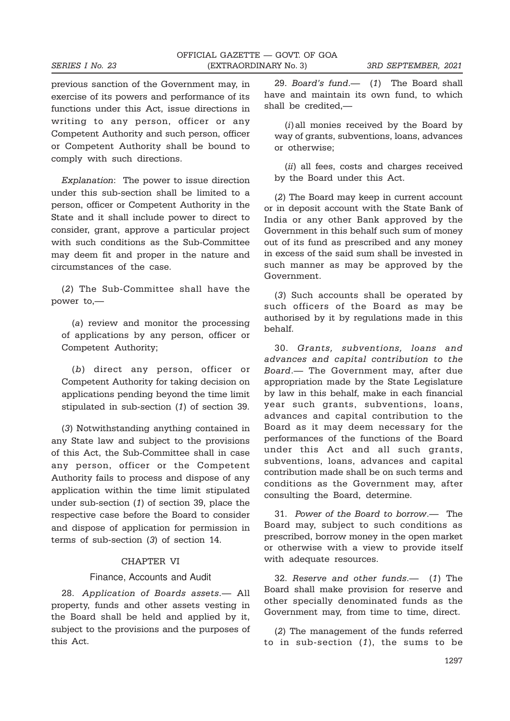previous sanction of the Government may, in exercise of its powers and performance of its functions under this Act, issue directions in writing to any person, officer or any Competent Authority and such person, officer or Competent Authority shall be bound to comply with such directions.

Explanation: The power to issue direction under this sub-section shall be limited to a person, officer or Competent Authority in the State and it shall include power to direct to consider, grant, approve a particular project with such conditions as the Sub-Committee may deem fit and proper in the nature and circumstances of the case.

(2) The Sub-Committee shall have the power to,—

(a) review and monitor the processing of applications by any person, officer or Competent Authority;

(b) direct any person, officer or Competent Authority for taking decision on applications pending beyond the time limit stipulated in sub-section (1) of section 39.

(3) Notwithstanding anything contained in any State law and subject to the provisions of this Act, the Sub-Committee shall in case any person, officer or the Competent Authority fails to process and dispose of any application within the time limit stipulated under sub-section (1) of section 39, place the respective case before the Board to consider and dispose of application for permission in terms of sub-section (3) of section 14.

## CHAPTER VI

#### Finance, Accounts and Audit

28. Application of Boards assets.— All property, funds and other assets vesting in the Board shall be held and applied by it, subject to the provisions and the purposes of this Act.

29. Board's fund.— (1) The Board shall have and maintain its own fund, to which shall be credited,—

(i)all monies received by the Board by way of grants, subventions, loans, advances or otherwise;

(ii) all fees, costs and charges received by the Board under this Act.

(2) The Board may keep in current account or in deposit account with the State Bank of India or any other Bank approved by the Government in this behalf such sum of money out of its fund as prescribed and any money in excess of the said sum shall be invested in such manner as may be approved by the Government.

(3) Such accounts shall be operated by such officers of the Board as may be authorised by it by regulations made in this behalf.

30. Grants, subventions, loans and advances and capital contribution to the Board.— The Government may, after due appropriation made by the State Legislature by law in this behalf, make in each financial year such grants, subventions, loans, advances and capital contribution to the Board as it may deem necessary for the performances of the functions of the Board under this Act and all such grants, subventions, loans, advances and capital contribution made shall be on such terms and conditions as the Government may, after consulting the Board, determine.

31. Power of the Board to borrow.— The Board may, subject to such conditions as prescribed, borrow money in the open market or otherwise with a view to provide itself with adequate resources.

32. Reserve and other funds.— (1) The Board shall make provision for reserve and other specially denominated funds as the Government may, from time to time, direct.

(2) The management of the funds referred to in sub-section  $(1)$ , the sums to be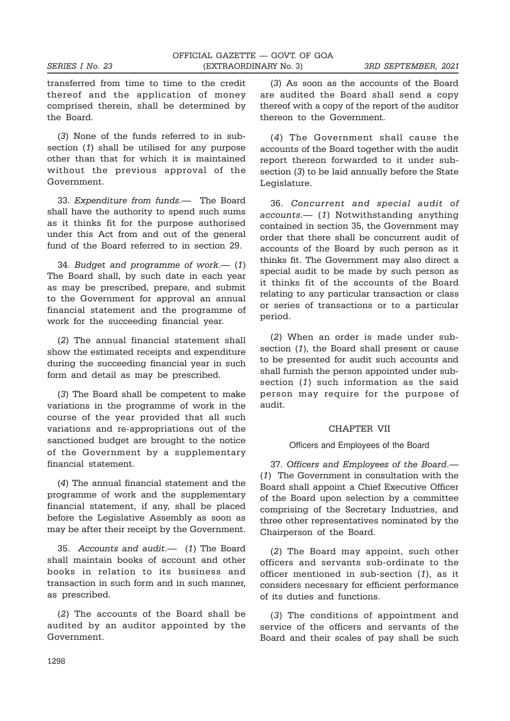transferred from time to time to the credit thereof and the application of money comprised therein, shall be determined by the Board.

(3) None of the funds referred to in subsection (1) shall be utilised for any purpose other than that for which it is maintained without the previous approval of the Government.

33. Expenditure from funds.— The Board shall have the authority to spend such sums as it thinks fit for the purpose authorised under this Act from and out of the general fund of the Board referred to in section 29.

34. Budget and programme of work.— (1) The Board shall, by such date in each year as may be prescribed, prepare, and submit to the Government for approval an annual financial statement and the programme of work for the succeeding financial year.

(2) The annual financial statement shall show the estimated receipts and expenditure during the succeeding financial year in such form and detail as may be prescribed.

(3) The Board shall be competent to make variations in the programme of work in the course of the year provided that all such variations and re-appropriations out of the sanctioned budget are brought to the notice of the Government by a supplementary financial statement.

(4) The annual financial statement and the programme of work and the supplementary financial statement, if any, shall be placed before the Legislative Assembly as soon as may be after their receipt by the Government.

35. Accounts and audit.— (1) The Board shall maintain books of account and other books in relation to its business and transaction in such form and in such manner, as prescribed.

(2) The accounts of the Board shall be audited by an auditor appointed by the Government.

(3) As soon as the accounts of the Board are audited the Board shall send a copy thereof with a copy of the report of the auditor thereon to the Government.

(4) The Government shall cause the accounts of the Board together with the audit report thereon forwarded to it under subsection (3) to be laid annually before the State Legislature.

36. Concurrent and special audit of accounts.— (1) Notwithstanding anything contained in section 35, the Government may order that there shall be concurrent audit of accounts of the Board by such person as it thinks fit. The Government may also direct a special audit to be made by such person as it thinks fit of the accounts of the Board relating to any particular transaction or class or series of transactions or to a particular period.

(2) When an order is made under subsection (1), the Board shall present or cause to be presented for audit such accounts and shall furnish the person appointed under subsection (1) such information as the said person may require for the purpose of audit.

## CHAPTER VII

#### Officers and Employees of the Board

37. Officers and Employees of the Board.— (1) The Government in consultation with the Board shall appoint a Chief Executive Officer of the Board upon selection by a committee comprising of the Secretary Industries, and three other representatives nominated by the Chairperson of the Board.

(2) The Board may appoint, such other officers and servants sub-ordinate to the officer mentioned in sub-section (1), as it considers necessary for efficient performance of its duties and functions.

(3) The conditions of appointment and service of the officers and servants of the Board and their scales of pay shall be such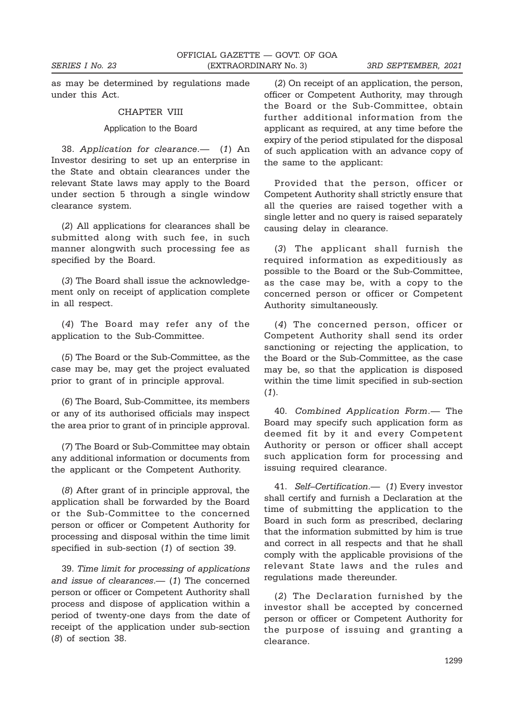as may be determined by regulations made under this Act.

#### CHAPTER VIII

#### Application to the Board

38. Application for clearance.— (1) An Investor desiring to set up an enterprise in the State and obtain clearances under the relevant State laws may apply to the Board under section 5 through a single window clearance system.

(2) All applications for clearances shall be submitted along with such fee, in such manner alongwith such processing fee as specified by the Board.

(3) The Board shall issue the acknowledgement only on receipt of application complete in all respect.

(4) The Board may refer any of the application to the Sub-Committee.

(5) The Board or the Sub-Committee, as the case may be, may get the project evaluated prior to grant of in principle approval.

(6) The Board, Sub-Committee, its members or any of its authorised officials may inspect the area prior to grant of in principle approval.

(7) The Board or Sub-Committee may obtain any additional information or documents from the applicant or the Competent Authority.

(8) After grant of in principle approval, the application shall be forwarded by the Board or the Sub-Committee to the concerned person or officer or Competent Authority for processing and disposal within the time limit specified in sub-section (1) of section 39.

39. Time limit for processing of applications and issue of clearances.— (1) The concerned person or officer or Competent Authority shall process and dispose of application within a period of twenty-one days from the date of receipt of the application under sub-section (8) of section 38.

(2) On receipt of an application, the person, officer or Competent Authority, may through the Board or the Sub-Committee, obtain further additional information from the applicant as required, at any time before the expiry of the period stipulated for the disposal of such application with an advance copy of the same to the applicant:

Provided that the person, officer or Competent Authority shall strictly ensure that all the queries are raised together with a single letter and no query is raised separately causing delay in clearance.

(3) The applicant shall furnish the required information as expeditiously as possible to the Board or the Sub-Committee, as the case may be, with a copy to the concerned person or officer or Competent Authority simultaneously.

(4) The concerned person, officer or Competent Authority shall send its order sanctioning or rejecting the application, to the Board or the Sub-Committee, as the case may be, so that the application is disposed within the time limit specified in sub-section  $(1).$ 

40. Combined Application Form.— The Board may specify such application form as deemed fit by it and every Competent Authority or person or officer shall accept such application form for processing and issuing required clearance.

41. Self–Certification.— (1) Every investor shall certify and furnish a Declaration at the time of submitting the application to the Board in such form as prescribed, declaring that the information submitted by him is true and correct in all respects and that he shall comply with the applicable provisions of the relevant State laws and the rules and regulations made thereunder.

(2) The Declaration furnished by the investor shall be accepted by concerned person or officer or Competent Authority for the purpose of issuing and granting a clearance.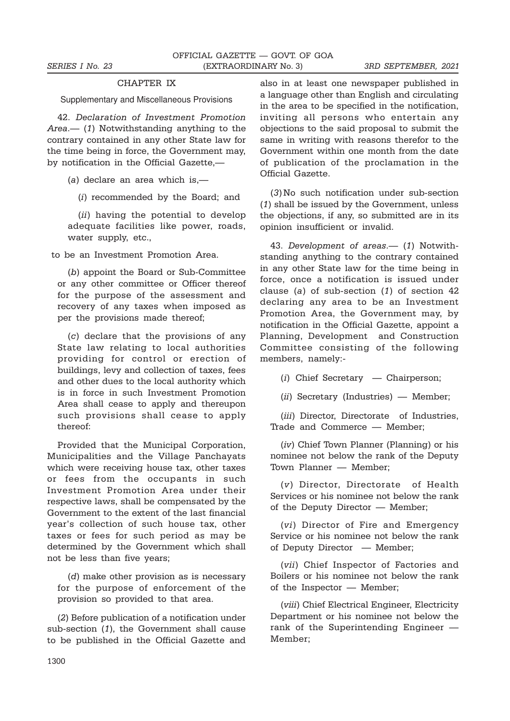## CHAPTER IX

Supplementary and Miscellaneous Provisions

42. Declaration of Investment Promotion Area.— (1) Notwithstanding anything to the contrary contained in any other State law for the time being in force, the Government may, by notification in the Official Gazette,—

(a) declare an area which is,—

(i) recommended by the Board; and

(ii) having the potential to develop adequate facilities like power, roads, water supply, etc.,

to be an Investment Promotion Area.

(b) appoint the Board or Sub-Committee or any other committee or Officer thereof for the purpose of the assessment and recovery of any taxes when imposed as per the provisions made thereof;

(c) declare that the provisions of any State law relating to local authorities providing for control or erection of buildings, levy and collection of taxes, fees and other dues to the local authority which is in force in such Investment Promotion Area shall cease to apply and thereupon such provisions shall cease to apply thereof:

Provided that the Municipal Corporation, Municipalities and the Village Panchayats which were receiving house tax, other taxes or fees from the occupants in such Investment Promotion Area under their respective laws, shall be compensated by the Government to the extent of the last financial year's collection of such house tax, other taxes or fees for such period as may be determined by the Government which shall not be less than five years;

(d) make other provision as is necessary for the purpose of enforcement of the provision so provided to that area.

(2) Before publication of a notification under sub-section (1), the Government shall cause to be published in the Official Gazette and also in at least one newspaper published in a language other than English and circulating in the area to be specified in the notification, inviting all persons who entertain any objections to the said proposal to submit the same in writing with reasons therefor to the Government within one month from the date of publication of the proclamation in the Official Gazette.

(3) No such notification under sub-section (1) shall be issued by the Government, unless the objections, if any, so submitted are in its opinion insufficient or invalid.

43. Development of areas.— (1) Notwithstanding anything to the contrary contained in any other State law for the time being in force, once a notification is issued under clause (a) of sub-section (1) of section 42 declaring any area to be an Investment Promotion Area, the Government may, by notification in the Official Gazette, appoint a Planning, Development and Construction Committee consisting of the following members, namely:-

(i) Chief Secretary — Chairperson;

(ii) Secretary (Industries) — Member;

(*iii*) Director, Directorate of Industries, Trade and Commerce — Member;

(iv) Chief Town Planner (Planning) or his nominee not below the rank of the Deputy Town Planner — Member;

(v) Director, Directorate of Health Services or his nominee not below the rank of the Deputy Director — Member;

(vi) Director of Fire and Emergency Service or his nominee not below the rank of Deputy Director — Member;

(vii) Chief Inspector of Factories and Boilers or his nominee not below the rank of the Inspector — Member;

(viii) Chief Electrical Engineer, Electricity Department or his nominee not below the rank of the Superintending Engineer — Member;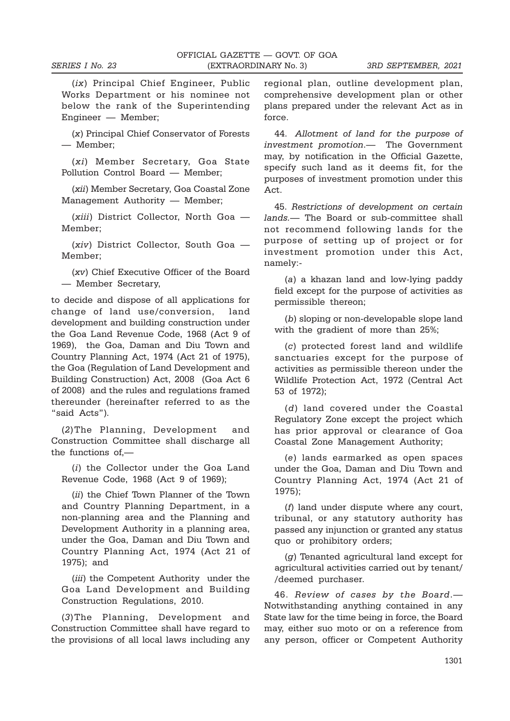(ix) Principal Chief Engineer, Public Works Department or his nominee not below the rank of the Superintending Engineer — Member;

(x) Principal Chief Conservator of Forests — Member;

(xi) Member Secretary, Goa State Pollution Control Board — Member;

(xii) Member Secretary, Goa Coastal Zone Management Authority — Member;

(xiii) District Collector, North Goa — Member;

(xiv) District Collector, South Goa — Member;

(xv) Chief Executive Officer of the Board — Member Secretary,

to decide and dispose of all applications for change of land use/conversion, land development and building construction under the Goa Land Revenue Code, 1968 (Act 9 of 1969), the Goa, Daman and Diu Town and Country Planning Act, 1974 (Act 21 of 1975), the Goa (Regulation of Land Development and Building Construction) Act, 2008 (Goa Act 6 of 2008) and the rules and regulations framed thereunder (hereinafter referred to as the "said Acts").

(2)The Planning, Development and Construction Committee shall discharge all the functions of,—

(i) the Collector under the Goa Land Revenue Code, 1968 (Act 9 of 1969);

(ii) the Chief Town Planner of the Town and Country Planning Department, in a non-planning area and the Planning and Development Authority in a planning area, under the Goa, Daman and Diu Town and Country Planning Act, 1974 (Act 21 of 1975); and

(*iii*) the Competent Authority under the Goa Land Development and Building Construction Regulations, 2010.

(3)The Planning, Development and Construction Committee shall have regard to the provisions of all local laws including any

regional plan, outline development plan, comprehensive development plan or other plans prepared under the relevant Act as in force.

44. Allotment of land for the purpose of investment promotion.— The Government may, by notification in the Official Gazette, specify such land as it deems fit, for the purposes of investment promotion under this Act.

45. Restrictions of development on certain lands.— The Board or sub-committee shall not recommend following lands for the purpose of setting up of project or for investment promotion under this Act, namely:-

(a) a khazan land and low-lying paddy field except for the purpose of activities as permissible thereon;

(b) sloping or non-developable slope land with the gradient of more than 25%;

(c) protected forest land and wildlife sanctuaries except for the purpose of activities as permissible thereon under the Wildlife Protection Act, 1972 (Central Act 53 of 1972);

(d) land covered under the Coastal Regulatory Zone except the project which has prior approval or clearance of Goa Coastal Zone Management Authority;

(e) lands earmarked as open spaces under the Goa, Daman and Diu Town and Country Planning Act, 1974 (Act 21 of 1975);

(f) land under dispute where any court, tribunal, or any statutory authority has passed any injunction or granted any status quo or prohibitory orders;

(g) Tenanted agricultural land except for agricultural activities carried out by tenant/ /deemed purchaser.

46. Review of cases by the Board.— Notwithstanding anything contained in any State law for the time being in force, the Board may, either suo moto or on a reference from any person, officer or Competent Authority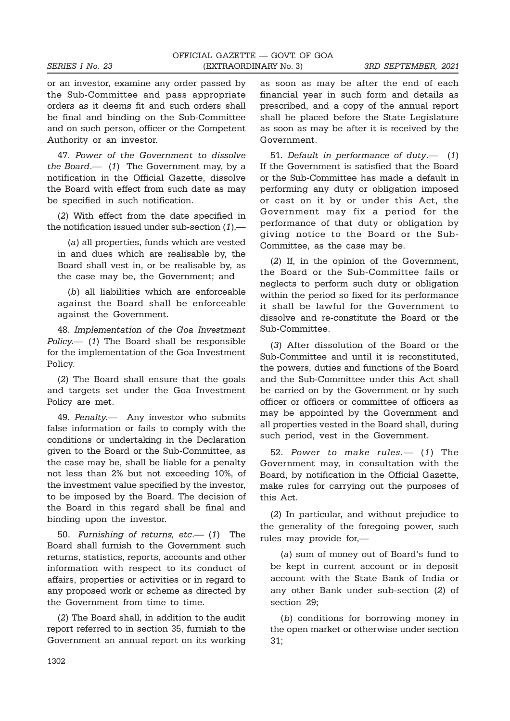or an investor, examine any order passed by the Sub-Committee and pass appropriate orders as it deems fit and such orders shall be final and binding on the Sub-Committee and on such person, officer or the Competent Authority or an investor.

47. Power of the Government to dissolve the Board.— (1) The Government may, by a notification in the Official Gazette, dissolve the Board with effect from such date as may be specified in such notification.

(2) With effect from the date specified in the notification issued under sub-section  $(1)$ ,—

(a) all properties, funds which are vested in and dues which are realisable by, the Board shall vest in, or be realisable by, as the case may be, the Government; and

(b) all liabilities which are enforceable against the Board shall be enforceable against the Government.

48. Implementation of the Goa Investment Policy.— (1) The Board shall be responsible for the implementation of the Goa Investment Policy.

(2) The Board shall ensure that the goals and targets set under the Goa Investment Policy are met.

49. Penalty. Any investor who submits false information or fails to comply with the conditions or undertaking in the Declaration given to the Board or the Sub-Committee, as the case may be, shall be liable for a penalty not less than 2% but not exceeding 10%, of the investment value specified by the investor, to be imposed by the Board. The decision of the Board in this regard shall be final and binding upon the investor.

50. Furnishing of returns, etc.— (1) The Board shall furnish to the Government such returns, statistics, reports, accounts and other information with respect to its conduct of affairs, properties or activities or in regard to any proposed work or scheme as directed by the Government from time to time.

(2) The Board shall, in addition to the audit report referred to in section 35, furnish to the Government an annual report on its working as soon as may be after the end of each financial year in such form and details as prescribed, and a copy of the annual report shall be placed before the State Legislature as soon as may be after it is received by the Government.

51. Default in performance of duty.— (1) If the Government is satisfied that the Board or the Sub-Committee has made a default in performing any duty or obligation imposed or cast on it by or under this Act, the Government may fix a period for the performance of that duty or obligation by giving notice to the Board or the Sub-Committee, as the case may be.

(2) If, in the opinion of the Government, the Board or the Sub-Committee fails or neglects to perform such duty or obligation within the period so fixed for its performance it shall be lawful for the Government to dissolve and re-constitute the Board or the Sub-Committee.

(3) After dissolution of the Board or the Sub-Committee and until it is reconstituted, the powers, duties and functions of the Board and the Sub-Committee under this Act shall be carried on by the Government or by such officer or officers or committee of officers as may be appointed by the Government and all properties vested in the Board shall, during such period, vest in the Government.

52. Power to make rules.— (1) The Government may, in consultation with the Board, by notification in the Official Gazette, make rules for carrying out the purposes of this Act.

(2) In particular, and without prejudice to the generality of the foregoing power, such rules may provide for,—

(a) sum of money out of Board's fund to be kept in current account or in deposit account with the State Bank of India or any other Bank under sub-section (2) of section 29;

(b) conditions for borrowing money in the open market or otherwise under section 31;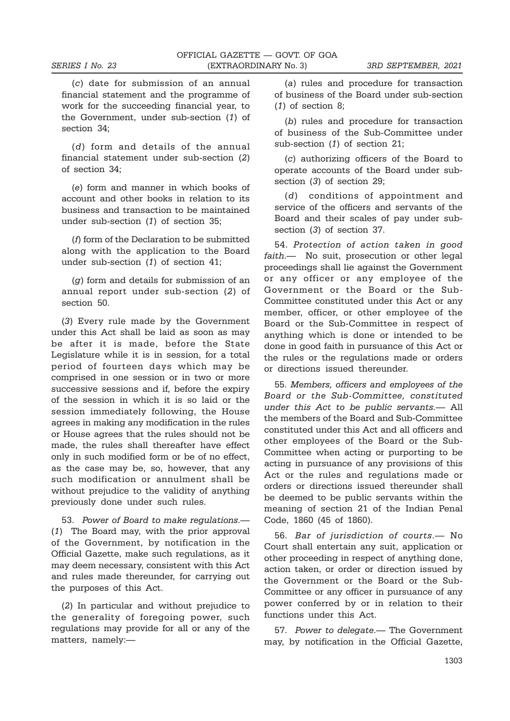(c) date for submission of an annual financial statement and the programme of work for the succeeding financial year, to the Government, under sub-section (1) of section 34;

(d) form and details of the annual financial statement under sub-section (2) of section 34;

(e) form and manner in which books of account and other books in relation to its business and transaction to be maintained under sub-section (1) of section 35;

(f) form of the Declaration to be submitted along with the application to the Board under sub-section (1) of section 41;

(g) form and details for submission of an annual report under sub-section (2) of section 50.

(3) Every rule made by the Government under this Act shall be laid as soon as may be after it is made, before the State Legislature while it is in session, for a total period of fourteen days which may be comprised in one session or in two or more successive sessions and if, before the expiry of the session in which it is so laid or the session immediately following, the House agrees in making any modification in the rules or House agrees that the rules should not be made, the rules shall thereafter have effect only in such modified form or be of no effect, as the case may be, so, however, that any such modification or annulment shall be without prejudice to the validity of anything previously done under such rules.

53. Power of Board to make regulations.— (1) The Board may, with the prior approval of the Government, by notification in the Official Gazette, make such regulations, as it may deem necessary, consistent with this Act and rules made thereunder, for carrying out the purposes of this Act.

(2) In particular and without prejudice to the generality of foregoing power, such regulations may provide for all or any of the matters, namely:—

(a) rules and procedure for transaction of business of the Board under sub-section (1) of section 8;

(b) rules and procedure for transaction of business of the Sub-Committee under sub-section (1) of section 21;

(c) authorizing officers of the Board to operate accounts of the Board under subsection (3) of section 29;

(d) conditions of appointment and service of the officers and servants of the Board and their scales of pay under subsection (3) of section 37.

54. Protection of action taken in good faith.— No suit, prosecution or other legal proceedings shall lie against the Government or any officer or any employee of the Government or the Board or the Sub-Committee constituted under this Act or any member, officer, or other employee of the Board or the Sub-Committee in respect of anything which is done or intended to be done in good faith in pursuance of this Act or the rules or the regulations made or orders or directions issued thereunder.

55. Members, officers and employees of the Board or the Sub-Committee, constituted under this Act to be public servants.— All the members of the Board and Sub-Committee constituted under this Act and all officers and other employees of the Board or the Sub-Committee when acting or purporting to be acting in pursuance of any provisions of this Act or the rules and regulations made or orders or directions issued thereunder shall be deemed to be public servants within the meaning of section 21 of the Indian Penal Code, 1860 (45 of 1860).

56. Bar of jurisdiction of courts.— No Court shall entertain any suit, application or other proceeding in respect of anything done, action taken, or order or direction issued by the Government or the Board or the Sub-Committee or any officer in pursuance of any power conferred by or in relation to their functions under this Act.

57. Power to delegate.— The Government may, by notification in the Official Gazette,